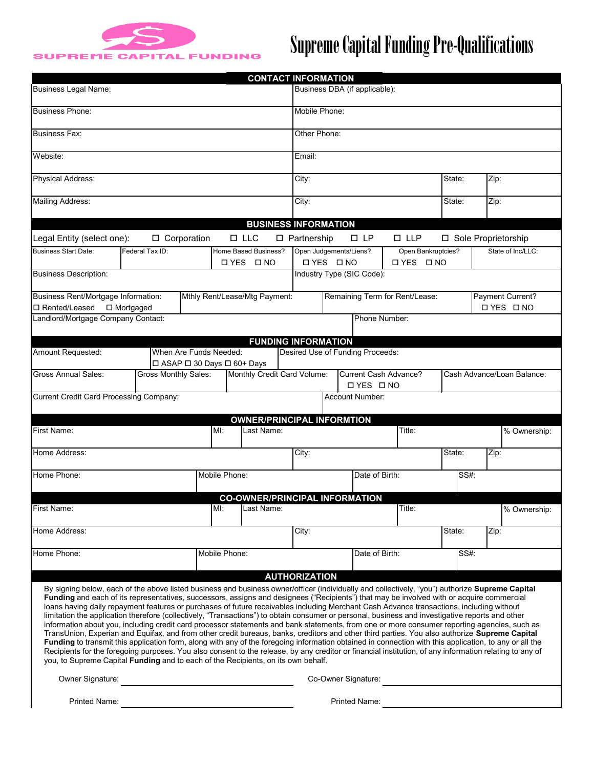

## Supreme Capital Funding Pre-Qualifications

|                                                                                                                                                                                                                                                                                                                                                                                                                                                                                                                                                                                                                                                                                                                                                                                                                                                                                                                                                                                                                                                                                                                                                                                                                                                                                                                |                             |                   |               | <b>CONTACT INFORMATION</b>              |                                             |                                                                         |                                  |                                         |              |                   |      |  |
|----------------------------------------------------------------------------------------------------------------------------------------------------------------------------------------------------------------------------------------------------------------------------------------------------------------------------------------------------------------------------------------------------------------------------------------------------------------------------------------------------------------------------------------------------------------------------------------------------------------------------------------------------------------------------------------------------------------------------------------------------------------------------------------------------------------------------------------------------------------------------------------------------------------------------------------------------------------------------------------------------------------------------------------------------------------------------------------------------------------------------------------------------------------------------------------------------------------------------------------------------------------------------------------------------------------|-----------------------------|-------------------|---------------|-----------------------------------------|---------------------------------------------|-------------------------------------------------------------------------|----------------------------------|-----------------------------------------|--------------|-------------------|------|--|
| <b>Business Legal Name:</b>                                                                                                                                                                                                                                                                                                                                                                                                                                                                                                                                                                                                                                                                                                                                                                                                                                                                                                                                                                                                                                                                                                                                                                                                                                                                                    |                             |                   |               |                                         | Business DBA (if applicable):               |                                                                         |                                  |                                         |              |                   |      |  |
| <b>Business Phone:</b>                                                                                                                                                                                                                                                                                                                                                                                                                                                                                                                                                                                                                                                                                                                                                                                                                                                                                                                                                                                                                                                                                                                                                                                                                                                                                         |                             |                   |               |                                         | Mobile Phone:                               |                                                                         |                                  |                                         |              |                   |      |  |
| <b>Business Fax:</b>                                                                                                                                                                                                                                                                                                                                                                                                                                                                                                                                                                                                                                                                                                                                                                                                                                                                                                                                                                                                                                                                                                                                                                                                                                                                                           |                             |                   |               |                                         |                                             | Other Phone:                                                            |                                  |                                         |              |                   |      |  |
| Website:                                                                                                                                                                                                                                                                                                                                                                                                                                                                                                                                                                                                                                                                                                                                                                                                                                                                                                                                                                                                                                                                                                                                                                                                                                                                                                       |                             |                   |               |                                         |                                             | Email:                                                                  |                                  |                                         |              |                   |      |  |
| Physical Address:                                                                                                                                                                                                                                                                                                                                                                                                                                                                                                                                                                                                                                                                                                                                                                                                                                                                                                                                                                                                                                                                                                                                                                                                                                                                                              |                             |                   |               |                                         |                                             | City:                                                                   |                                  |                                         | State:       |                   | Zip: |  |
| Mailing Address:                                                                                                                                                                                                                                                                                                                                                                                                                                                                                                                                                                                                                                                                                                                                                                                                                                                                                                                                                                                                                                                                                                                                                                                                                                                                                               |                             |                   |               |                                         |                                             | City:                                                                   |                                  |                                         | State:       |                   | Zip: |  |
| <b>BUSINESS INFORMATION</b>                                                                                                                                                                                                                                                                                                                                                                                                                                                                                                                                                                                                                                                                                                                                                                                                                                                                                                                                                                                                                                                                                                                                                                                                                                                                                    |                             |                   |               |                                         |                                             |                                                                         |                                  |                                         |              |                   |      |  |
| □ Corporation<br>$\square$ LLC<br>□ Partnership<br>$\square$ LP<br>$\square$ LLP<br>□ Sole Proprietorship<br>Legal Entity (select one):                                                                                                                                                                                                                                                                                                                                                                                                                                                                                                                                                                                                                                                                                                                                                                                                                                                                                                                                                                                                                                                                                                                                                                        |                             |                   |               |                                         |                                             |                                                                         |                                  |                                         |              |                   |      |  |
| <b>Business Start Date:</b><br>Federal Tax ID:                                                                                                                                                                                                                                                                                                                                                                                                                                                                                                                                                                                                                                                                                                                                                                                                                                                                                                                                                                                                                                                                                                                                                                                                                                                                 |                             |                   |               | Home Based Business?<br><b>OYES ONO</b> | Open Judgements/Liens?<br><b>□ YES □ NO</b> |                                                                         |                                  | Open Bankruptcies?<br><b>□ YES □ NO</b> |              | State of Inc/LLC: |      |  |
| <b>Business Description:</b>                                                                                                                                                                                                                                                                                                                                                                                                                                                                                                                                                                                                                                                                                                                                                                                                                                                                                                                                                                                                                                                                                                                                                                                                                                                                                   |                             |                   |               |                                         |                                             | Industry Type (SIC Code):                                               |                                  |                                         |              |                   |      |  |
| Business Rent/Mortgage Information:<br>Mthly Rent/Lease/Mtg Payment:<br>□ Rented/Leased □ Mortgaged                                                                                                                                                                                                                                                                                                                                                                                                                                                                                                                                                                                                                                                                                                                                                                                                                                                                                                                                                                                                                                                                                                                                                                                                            |                             |                   |               |                                         |                                             | Remaining Term for Rent/Lease:<br>Payment Current?<br><b>□ YES □ NO</b> |                                  |                                         |              |                   |      |  |
| Landlord/Mortgage Company Contact:                                                                                                                                                                                                                                                                                                                                                                                                                                                                                                                                                                                                                                                                                                                                                                                                                                                                                                                                                                                                                                                                                                                                                                                                                                                                             |                             |                   |               |                                         |                                             |                                                                         | Phone Number:                    |                                         |              |                   |      |  |
|                                                                                                                                                                                                                                                                                                                                                                                                                                                                                                                                                                                                                                                                                                                                                                                                                                                                                                                                                                                                                                                                                                                                                                                                                                                                                                                |                             |                   |               | <b>FUNDING INFORMATION</b>              |                                             |                                                                         |                                  |                                         |              |                   |      |  |
| Amount Requested:                                                                                                                                                                                                                                                                                                                                                                                                                                                                                                                                                                                                                                                                                                                                                                                                                                                                                                                                                                                                                                                                                                                                                                                                                                                                                              | When Are Funds Needed:      |                   |               |                                         |                                             |                                                                         | Desired Use of Funding Proceeds: |                                         |              |                   |      |  |
|                                                                                                                                                                                                                                                                                                                                                                                                                                                                                                                                                                                                                                                                                                                                                                                                                                                                                                                                                                                                                                                                                                                                                                                                                                                                                                                | □ ASAP □ 30 Days □ 60+ Days |                   |               |                                         |                                             |                                                                         |                                  |                                         |              |                   |      |  |
| <b>Gross Monthly Sales:</b><br>Monthly Credit Card Volume:<br><b>Gross Annual Sales:</b><br>Current Cash Advance?<br>Cash Advance/Loan Balance:<br><b>□ YES □ NO</b>                                                                                                                                                                                                                                                                                                                                                                                                                                                                                                                                                                                                                                                                                                                                                                                                                                                                                                                                                                                                                                                                                                                                           |                             |                   |               |                                         |                                             |                                                                         |                                  |                                         |              |                   |      |  |
| Current Credit Card Processing Company:                                                                                                                                                                                                                                                                                                                                                                                                                                                                                                                                                                                                                                                                                                                                                                                                                                                                                                                                                                                                                                                                                                                                                                                                                                                                        |                             |                   |               |                                         |                                             |                                                                         | <b>Account Number:</b>           |                                         |              |                   |      |  |
|                                                                                                                                                                                                                                                                                                                                                                                                                                                                                                                                                                                                                                                                                                                                                                                                                                                                                                                                                                                                                                                                                                                                                                                                                                                                                                                |                             |                   |               | <b>OWNER/PRINCIPAL INFORMTION</b>       |                                             |                                                                         |                                  |                                         |              |                   |      |  |
| First Name:<br>$M!$ :<br>Last Name:                                                                                                                                                                                                                                                                                                                                                                                                                                                                                                                                                                                                                                                                                                                                                                                                                                                                                                                                                                                                                                                                                                                                                                                                                                                                            |                             |                   |               |                                         | Title:                                      |                                                                         |                                  |                                         | % Ownership: |                   |      |  |
| Home Address:                                                                                                                                                                                                                                                                                                                                                                                                                                                                                                                                                                                                                                                                                                                                                                                                                                                                                                                                                                                                                                                                                                                                                                                                                                                                                                  |                             |                   |               |                                         | City:                                       |                                                                         |                                  | State:                                  | Zip:         |                   |      |  |
| Home Phone:                                                                                                                                                                                                                                                                                                                                                                                                                                                                                                                                                                                                                                                                                                                                                                                                                                                                                                                                                                                                                                                                                                                                                                                                                                                                                                    |                             | Mobile Phone:     |               |                                         | Date of Birth:                              |                                                                         |                                  | SS#:                                    |              |                   |      |  |
|                                                                                                                                                                                                                                                                                                                                                                                                                                                                                                                                                                                                                                                                                                                                                                                                                                                                                                                                                                                                                                                                                                                                                                                                                                                                                                                |                             |                   |               | <b>CO-OWNER/PRINCIPAL INFORMATION</b>   |                                             |                                                                         |                                  |                                         |              |                   |      |  |
| First Name:                                                                                                                                                                                                                                                                                                                                                                                                                                                                                                                                                                                                                                                                                                                                                                                                                                                                                                                                                                                                                                                                                                                                                                                                                                                                                                    |                             | MI:<br>Last Name: |               |                                         |                                             |                                                                         |                                  | Title:                                  |              | % Ownership:      |      |  |
| Home Address:                                                                                                                                                                                                                                                                                                                                                                                                                                                                                                                                                                                                                                                                                                                                                                                                                                                                                                                                                                                                                                                                                                                                                                                                                                                                                                  |                             |                   |               | City:                                   |                                             |                                                                         |                                  | State:                                  |              | Zip:              |      |  |
| Home Phone:                                                                                                                                                                                                                                                                                                                                                                                                                                                                                                                                                                                                                                                                                                                                                                                                                                                                                                                                                                                                                                                                                                                                                                                                                                                                                                    |                             |                   | Mobile Phone: |                                         |                                             | Date of Birth:                                                          |                                  |                                         | SS#:         |                   |      |  |
|                                                                                                                                                                                                                                                                                                                                                                                                                                                                                                                                                                                                                                                                                                                                                                                                                                                                                                                                                                                                                                                                                                                                                                                                                                                                                                                |                             |                   |               |                                         | <b>AUTHORIZATION</b>                        |                                                                         |                                  |                                         |              |                   |      |  |
| By signing below, each of the above listed business and business owner/officer (individually and collectively, "you") authorize Supreme Capital<br>Funding and each of its representatives, successors, assigns and designees ("Recipients") that may be involved with or acquire commercial<br>loans having daily repayment features or purchases of future receivables including Merchant Cash Advance transactions, including without<br>limitation the application therefore (collectively, "Transactions") to obtain consumer or personal, business and investigative reports and other<br>information about you, including credit card processor statements and bank statements, from one or more consumer reporting agencies, such as<br>TransUnion, Experian and Equifax, and from other credit bureaus, banks, creditors and other third parties. You also authorize Supreme Capital<br><b>Funding</b> to transmit this application form, along with any of the foregoing information obtained in connection with this application, to any or all the<br>Recipients for the foregoing purposes. You also consent to the release, by any creditor or financial institution, of any information relating to any of<br>you, to Supreme Capital Funding and to each of the Recipients, on its own behalf. |                             |                   |               |                                         |                                             |                                                                         |                                  |                                         |              |                   |      |  |
| Owner Signature:<br><u> 1989 - Johann Barbara, martxa alemaniar arg</u>                                                                                                                                                                                                                                                                                                                                                                                                                                                                                                                                                                                                                                                                                                                                                                                                                                                                                                                                                                                                                                                                                                                                                                                                                                        |                             |                   |               |                                         | Co-Owner Signature:                         |                                                                         |                                  |                                         |              |                   |      |  |
| Printed Name:                                                                                                                                                                                                                                                                                                                                                                                                                                                                                                                                                                                                                                                                                                                                                                                                                                                                                                                                                                                                                                                                                                                                                                                                                                                                                                  |                             |                   |               |                                         |                                             | Printed Name:                                                           |                                  |                                         |              |                   |      |  |